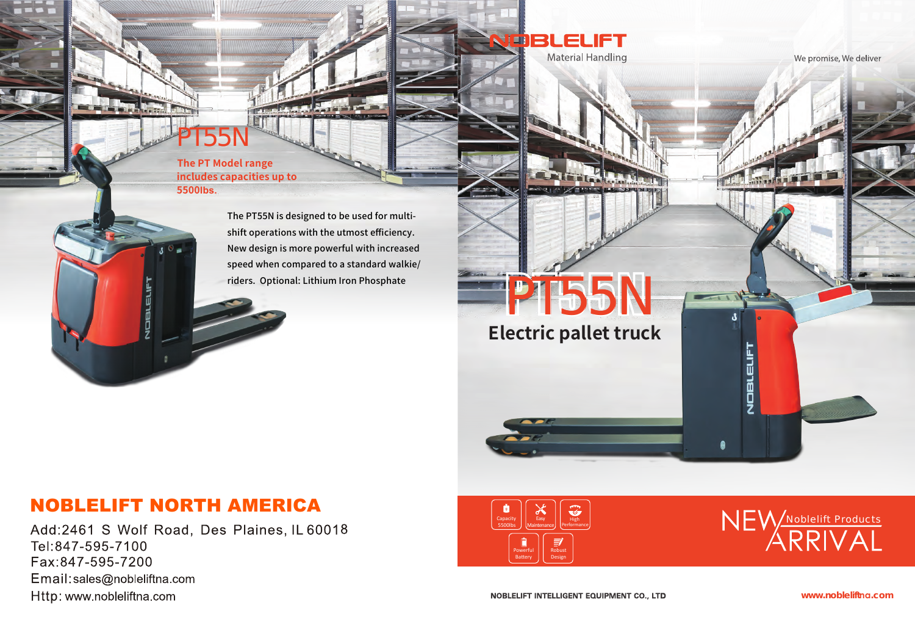PT55N

PT55N

**The PT Model range includes capacities up to 5500lbs.**

**Electric pallet truck**

 $\sqrt{2}$ 



## We promise, We deliver



The PT55N is designed to be used for multishift operations with the utmost efficiency. New design is more powerful with increased speed when compared to a standard walkie/ riders. Optional: Lithium Iron Phosphate

**www.nobleliftna.com**





## NOBLELIFT NORTH AMERICA

Add:2461 S Wolf Road, Des Plaines, IL 60018 Tel:847-595-7100 Fax:847-595-7200 Email:sales@nobleliftna.com Http: www.nobleliftna.com